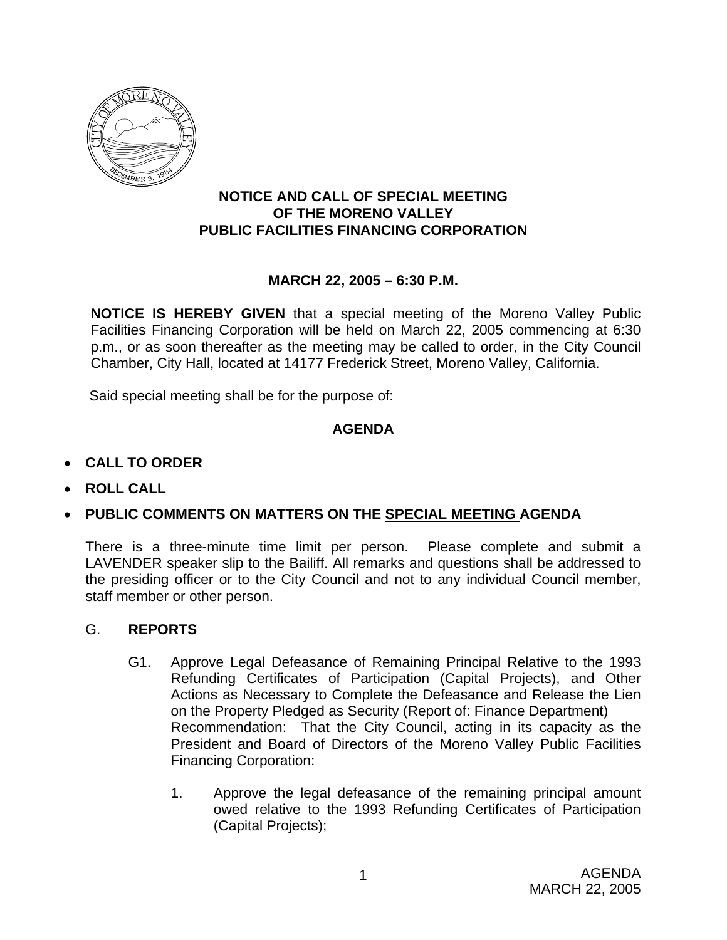

### **NOTICE AND CALL OF SPECIAL MEETING OF THE MORENO VALLEY PUBLIC FACILITIES FINANCING CORPORATION**

### **MARCH 22, 2005 – 6:30 P.M.**

**NOTICE IS HEREBY GIVEN** that a special meeting of the Moreno Valley Public Facilities Financing Corporation will be held on March 22, 2005 commencing at 6:30 p.m., or as soon thereafter as the meeting may be called to order, in the City Council Chamber, City Hall, located at 14177 Frederick Street, Moreno Valley, California.

Said special meeting shall be for the purpose of:

## **AGENDA**

## • **CALL TO ORDER**

• **ROLL CALL**

# • **PUBLIC COMMENTS ON MATTERS ON THE SPECIAL MEETING AGENDA**

There is a three-minute time limit per person. Please complete and submit a LAVENDER speaker slip to the Bailiff. All remarks and questions shall be addressed to the presiding officer or to the City Council and not to any individual Council member, staff member or other person.

#### G. **REPORTS**

- G1. Approve Legal Defeasance of Remaining Principal Relative to the 1993 Refunding Certificates of Participation (Capital Projects), and Other Actions as Necessary to Complete the Defeasance and Release the Lien on the Property Pledged as Security (Report of: Finance Department) Recommendation: That the City Council, acting in its capacity as the President and Board of Directors of the Moreno Valley Public Facilities Financing Corporation:
	- 1. Approve the legal defeasance of the remaining principal amount owed relative to the 1993 Refunding Certificates of Participation (Capital Projects);